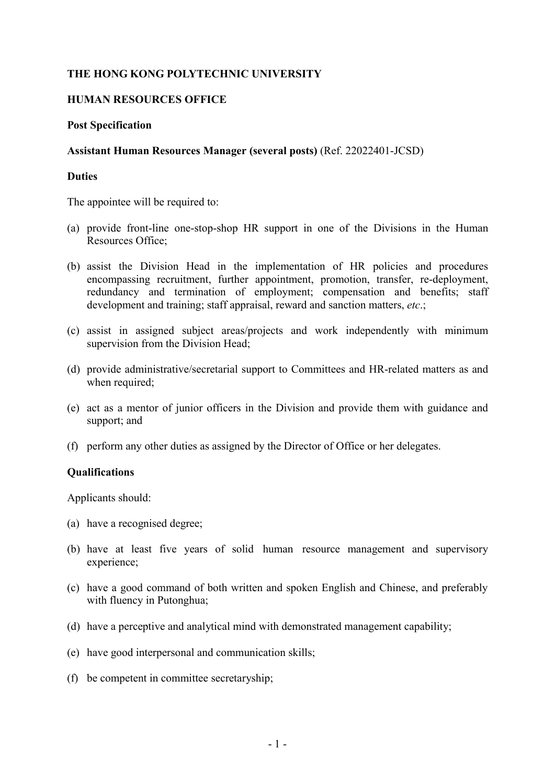# **THE HONG KONG POLYTECHNIC UNIVERSITY**

## **HUMAN RESOURCES OFFICE**

### **Post Specification**

### **Assistant Human Resources Manager (several posts)** (Ref. 22022401-JCSD)

## **Duties**

The appointee will be required to:

- (a) provide front-line one-stop-shop HR support in one of the Divisions in the Human Resources Office;
- (b) assist the Division Head in the implementation of HR policies and procedures encompassing recruitment, further appointment, promotion, transfer, re-deployment, redundancy and termination of employment; compensation and benefits; staff development and training; staff appraisal, reward and sanction matters, *etc*.;
- (c) assist in assigned subject areas/projects and work independently with minimum supervision from the Division Head;
- (d) provide administrative/secretarial support to Committees and HR-related matters as and when required;
- (e) act as a mentor of junior officers in the Division and provide them with guidance and support; and
- (f) perform any other duties as assigned by the Director of Office or her delegates.

### **Qualifications**

Applicants should:

- (a) have a recognised degree;
- (b) have at least five years of solid human resource management and supervisory experience;
- (c) have a good command of both written and spoken English and Chinese, and preferably with fluency in Putonghua;
- (d) have a perceptive and analytical mind with demonstrated management capability;
- (e) have good interpersonal and communication skills;
- (f) be competent in committee secretaryship;